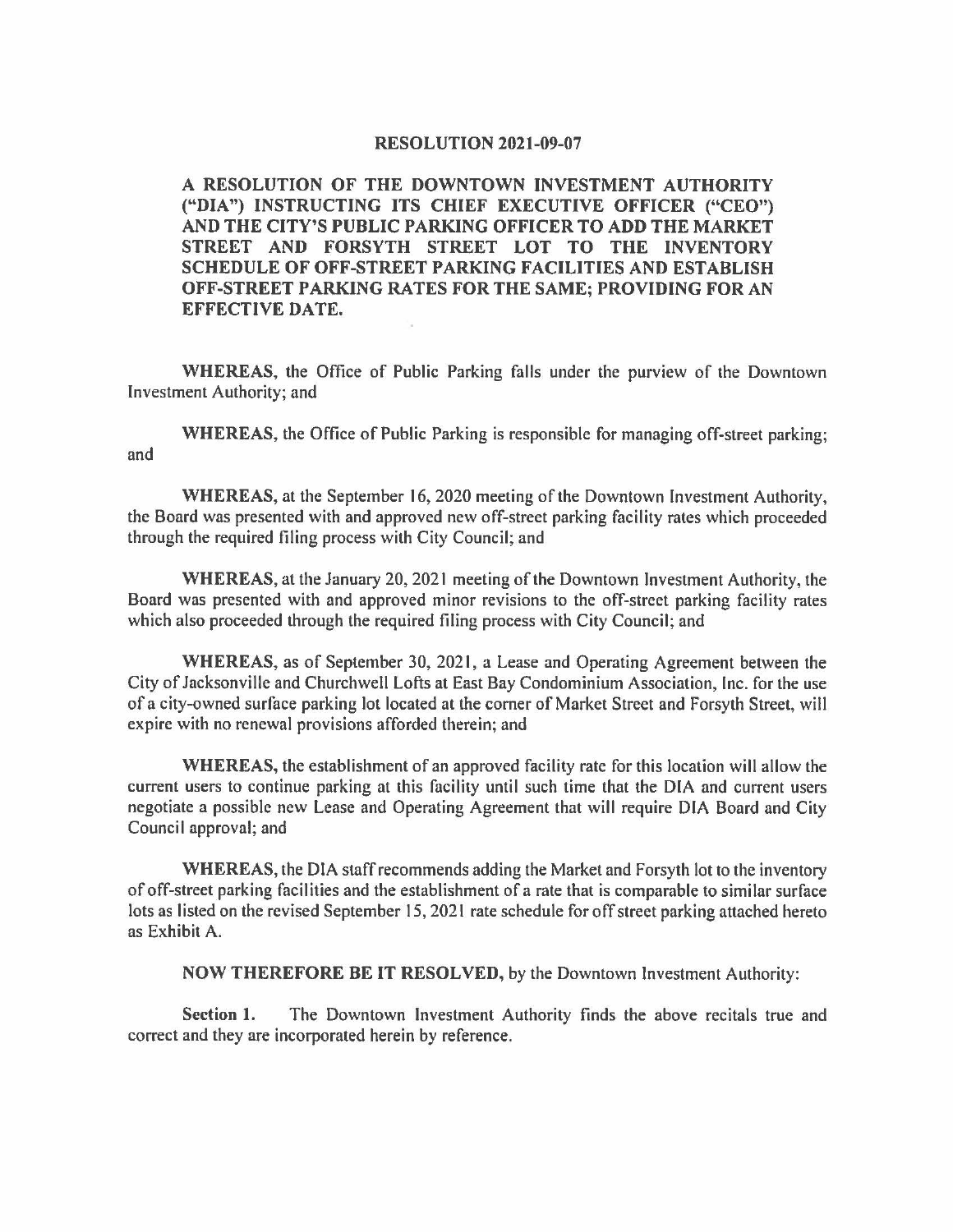## **RESOLUTION 2021-09-07**

**A RESOLUTION OF THE DOWNTOWN INVESTMENT AUTHORITY ("DIA") INSTRUCTING ITS CHIEF EXECUTIVE OFFICER ("CEO") AND THE CITY'S PUBLIC PARKING OFFICER TO ADD THE MARKET STREET AND FORSYTH STREET LOT TO THE INVENTORY SCHEDULE OF OFF-STREET PARKING FACILITIES AND ESTABLISH OFF-STREET PARKING RATES FOR THE SAME; PROVIDING FOR AN EFFECTIVE DATE.** 

**WHEREAS,** the Office of Public Parking falls under the purview of the Downtown Investment Authority; and

**WHEREAS,** the Office of Public Parking is responsible for managing off-street parking; and

**WHEREAS,** at the September 16, 2020 meeting of the Downtown Investment Authority, the Board was presented with and approved new off-street parking facility rates which proceeded through the required filing process with City Council; and

**WHEREAS,** at the January 20, 2021 meeting of the Downtown Investment Authority, the Board was presented with and approved minor revisions to the off-street parking facility rates which also proceeded through the required filing process with City Council; and

**WHEREAS,** as of September 30, 2021, a Lease and Operating Agreement between the City of Jacksonville and Churchwell Lofts at East Bay Condominium Association, Inc. for the use of a city-owned surface parking lot located at the comer of Market Street and Forsyth Street, will expire with no renewal provisions afforded therein; and

**WHEREAS,** the establishment of an approved facility rate for this location will allow the current users to continue parking at this facility until such time that the DIA and current users negotiate a possible new Lease and Operating Agreement that will require DIA Board and City Council approval; and

**WHEREAS,** the DIA staff recommends adding the Market and Forsyth lot to the inventory of off-street parking facilities and the establishment of a rate that is comparable to similar surface lots as listed on the revised September 15, 2021 rate schedule for off street parking attached hereto as Exhibit A.

**NOW THEREFORE BE IT RESOLVED,** by the Downtown Investment Authority:

**Section 1.** The Downtown Investment Authority finds the above recitals true and correct and they are incorporated herein by reference.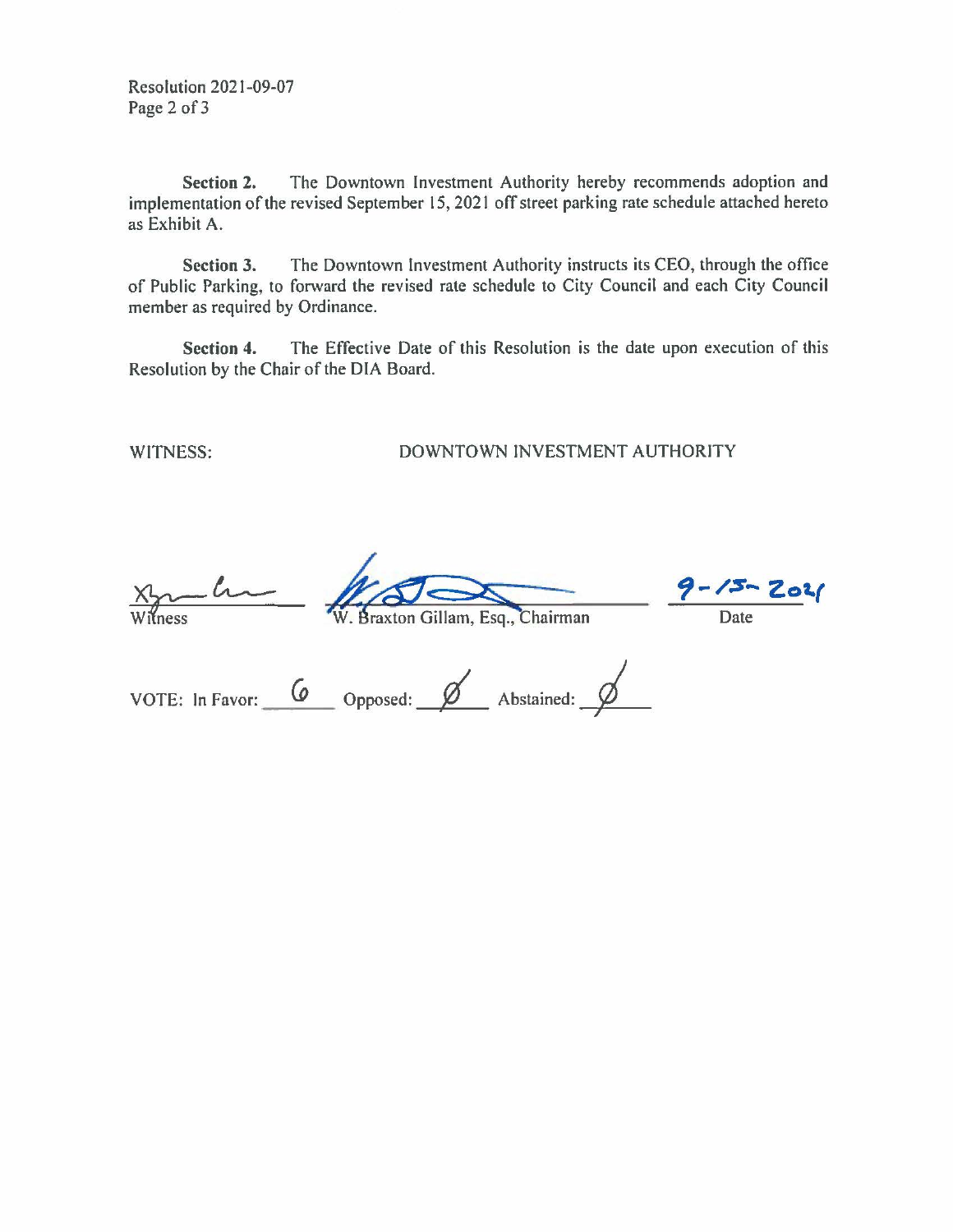Resolution 2021-09-07 Page 2 of 3

**Section 2.** The Downtown Investment Authority hereby recommends adoption and implementation of the revised September 15, 2021 off street parking rate schedule attached hereto as Exhibit A.

**Section 3.** The Downtown Investment Authority instructs its CEO, through the office of Public Parking, to forward the revised rate schedule to City Council and each City Council member as required by Ordinance.

**Section 4.** The Effective Date of this Resolution is the date upon execution of this Resolution by the Chair of the DIA Board.

## WITNESS: DOWNTOWN INVESTMENT AUTHORITY

 $\lambda$ 

Braxton Gillam, Esq., Chairman

*f-/:s-* **Zoi.(** 

Date

| VOTE: In Favor: | Opposed: | Abstained: |  |
|-----------------|----------|------------|--|
|                 |          |            |  |